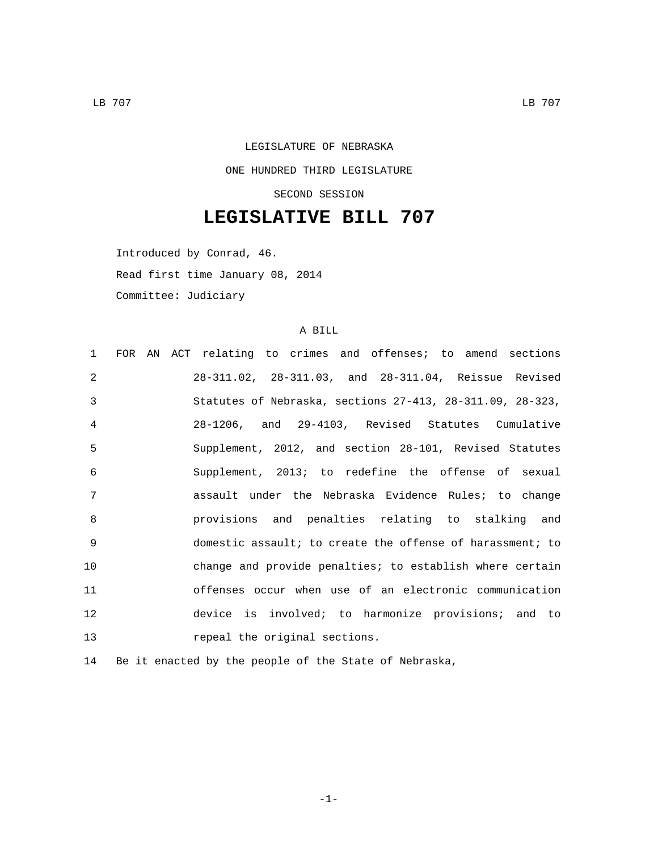## LEGISLATURE OF NEBRASKA ONE HUNDRED THIRD LEGISLATURE SECOND SESSION

## **LEGISLATIVE BILL 707**

Introduced by Conrad, 46. Read first time January 08, 2014 Committee: Judiciary

## A BILL

| 1              |  | FOR AN ACT relating to crimes and offenses; to amend sections |
|----------------|--|---------------------------------------------------------------|
| $\mathfrak{D}$ |  | 28-311.02, 28-311.03, and 28-311.04, Reissue Revised          |
| 3              |  | Statutes of Nebraska, sections 27-413, 28-311.09, 28-323,     |
| $\overline{4}$ |  | 28-1206, and 29-4103, Revised Statutes Cumulative             |
| 5              |  | Supplement, 2012, and section 28-101, Revised Statutes        |
| 6              |  | Supplement, 2013; to redefine the offense of sexual           |
| 7              |  | assault under the Nebraska Evidence Rules; to change          |
| 8              |  | provisions and penalties relating to stalking and             |
| $\mathsf{Q}$   |  | domestic assault; to create the offense of harassment; to     |
| 10             |  | change and provide penalties; to establish where certain      |
| 11             |  | offenses occur when use of an electronic communication        |
| 12             |  | device is involved; to harmonize provisions; and to           |
| 13             |  | repeal the original sections.                                 |

14 Be it enacted by the people of the State of Nebraska,

-1-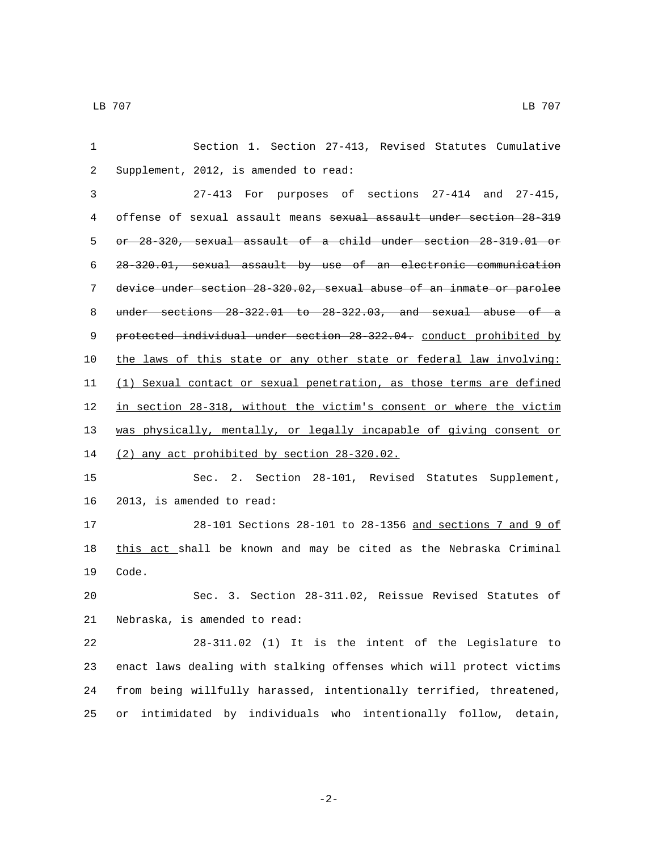Section 1. Section 27-413, Revised Statutes Cumulative 2 Supplement, 2012, is amended to read: 27-413 For purposes of sections 27-414 and 27-415, offense of sexual assault means sexual assault under section 28-319 or 28-320, sexual assault of a child under section 28-319.01 or 28-320.01, sexual assault by use of an electronic communication device under section 28-320.02, sexual abuse of an inmate or parolee under sections 28-322.01 to 28-322.03, and sexual abuse of a 9 protected individual under section 28 322.04. conduct prohibited by the laws of this state or any other state or federal law involving: (1) Sexual contact or sexual penetration, as those terms are defined in section 28-318, without the victim's consent or where the victim was physically, mentally, or legally incapable of giving consent or 14 (2) any act prohibited by section 28-320.02. Sec. 2. Section 28-101, Revised Statutes Supplement, 16 2013, is amended to read: 28-101 Sections 28-101 to 28-1356 and sections 7 and 9 of 18 this act shall be known and may be cited as the Nebraska Criminal 19 Code. Sec. 3. Section 28-311.02, Reissue Revised Statutes of 21 Nebraska, is amended to read: 28-311.02 (1) It is the intent of the Legislature to enact laws dealing with stalking offenses which will protect victims from being willfully harassed, intentionally terrified, threatened, or intimidated by individuals who intentionally follow, detain,

-2-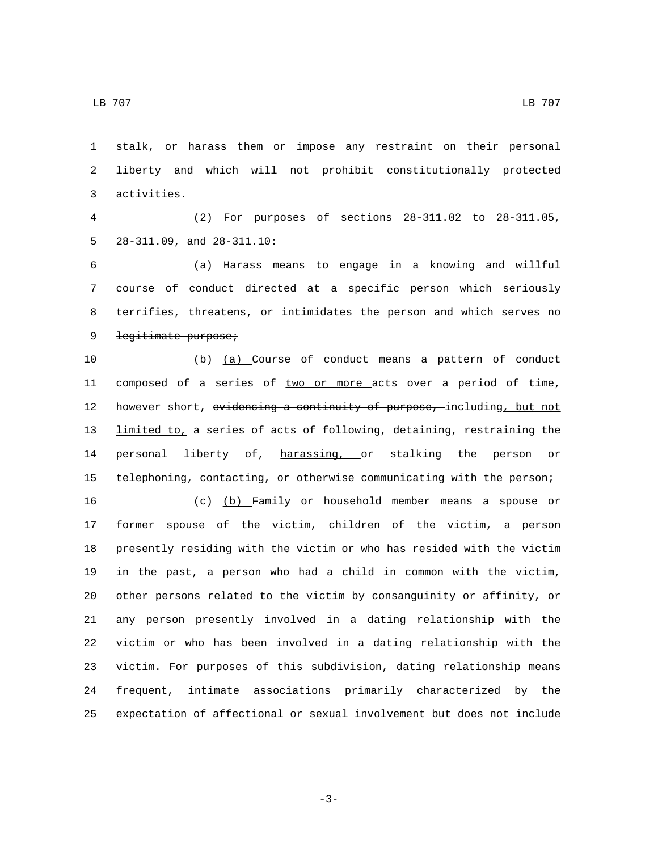stalk, or harass them or impose any restraint on their personal liberty and which will not prohibit constitutionally protected activities.3

 (2) For purposes of sections 28-311.02 to 28-311.05, 5  $28-311.09$ , and  $28-311.10$ :

 (a) Harass means to engage in a knowing and willful course of conduct directed at a specific person which seriously terrifies, threatens, or intimidates the person and which serves no 9 legitimate purpose;

 $(b)$   $(a)$  Course of conduct means a pattern of conduct 11 composed of a series of two or more acts over a period of time, 12 however short, evidencing a continuity of purpose, including, but not 13 limited to, a series of acts of following, detaining, restraining the 14 personal liberty of, harassing, or stalking the person or telephoning, contacting, or otherwise communicating with the person;

 $+e$   $(e)$   $(b)$  Family or household member means a spouse or former spouse of the victim, children of the victim, a person presently residing with the victim or who has resided with the victim in the past, a person who had a child in common with the victim, other persons related to the victim by consanguinity or affinity, or any person presently involved in a dating relationship with the victim or who has been involved in a dating relationship with the victim. For purposes of this subdivision, dating relationship means frequent, intimate associations primarily characterized by the expectation of affectional or sexual involvement but does not include

-3-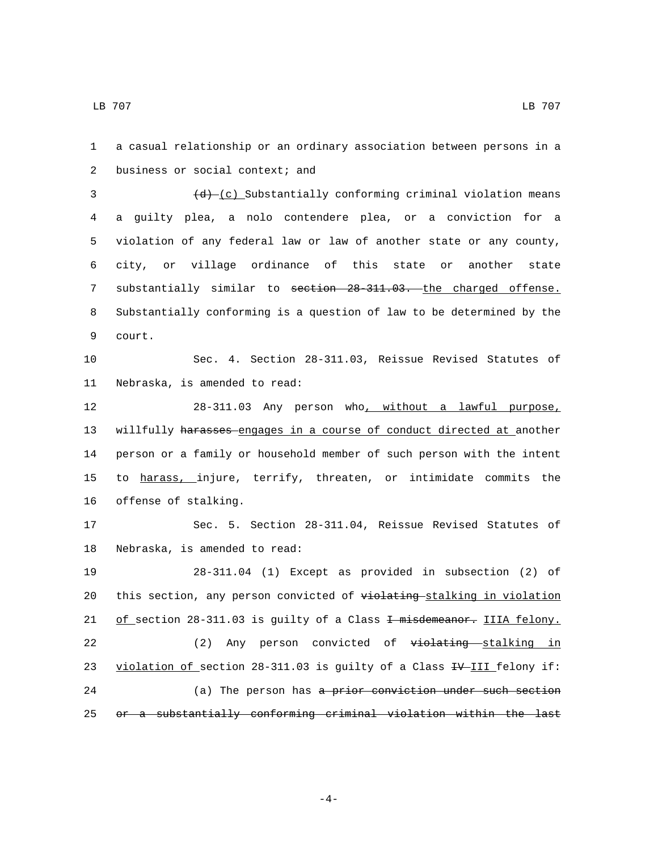1 a casual relationship or an ordinary association between persons in a 2 business or social context; and 3  $(d)$  (c) Substantially conforming criminal violation means 4 a guilty plea, a nolo contendere plea, or a conviction for a 5 violation of any federal law or law of another state or any county, 6 city, or village ordinance of this state or another state 7 substantially similar to section 28-311.03. the charged offense. 8 Substantially conforming is a question of law to be determined by the 9 court. 10 Sec. 4. Section 28-311.03, Reissue Revised Statutes of 11 Nebraska, is amended to read: 12 28-311.03 Any person who, without a lawful purpose, 13 willfully harasses engages in a course of conduct directed at another 14 person or a family or household member of such person with the intent 15 to harass, injure, terrify, threaten, or intimidate commits the 16 offense of stalking. 17 Sec. 5. Section 28-311.04, Reissue Revised Statutes of 18 Nebraska, is amended to read: 19 28-311.04 (1) Except as provided in subsection (2) of 20 this section, any person convicted of violating stalking in violation 21 of section 28-311.03 is guilty of a Class + misdemeanor. IIIA felony. 22 (2) Any person convicted of violating stalking in 23 violation of section 28-311.03 is guilty of a Class  $\frac{4V - 111}{2}$  felony if: 24 (a) The person has a prior conviction under such section 25 or a substantially conforming criminal violation within the last

-4-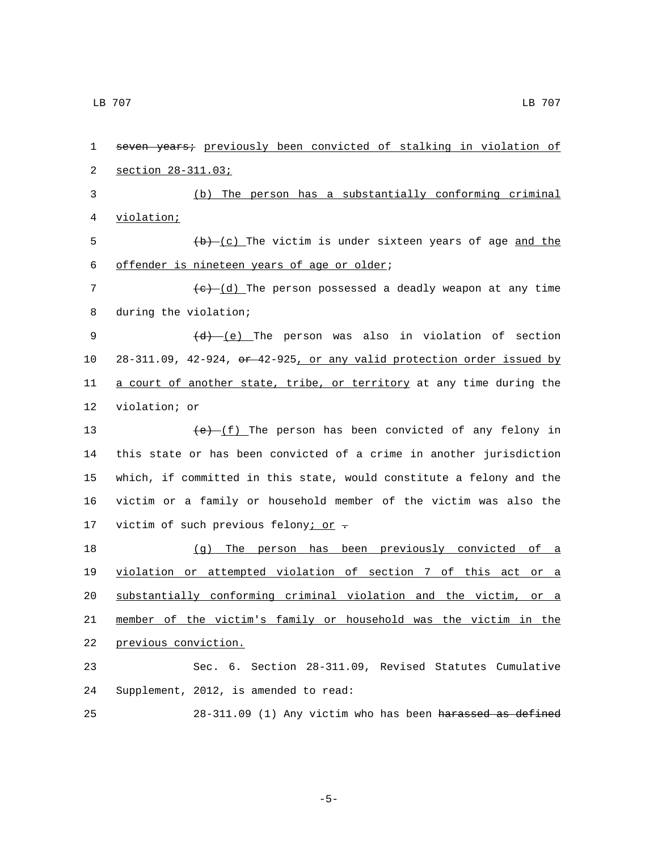| 1  | seven years; previously been convicted of stalking in violation of    |
|----|-----------------------------------------------------------------------|
| 2  | section 28-311.03;                                                    |
| 3  | (b) The person has a substantially conforming criminal                |
| 4  | <u>violation;</u>                                                     |
| 5  | $(b)$ (c) The victim is under sixteen years of age and the            |
| 6  | offender is nineteen years of age or older;                           |
| 7  | $(e)$ $(d)$ The person possessed a deadly weapon at any time          |
| 8  | during the violation;                                                 |
| 9  | $(d)$ (e) The person was also in violation of section                 |
| 10 | 28-311.09, 42-924, or 42-925, or any valid protection order issued by |
| 11 | a court of another state, tribe, or territory at any time during the  |
| 12 | violation; or                                                         |
| 13 | $(e)$ (f) The person has been convicted of any felony in              |
| 14 | this state or has been convicted of a crime in another jurisdiction   |
| 15 | which, if committed in this state, would constitute a felony and the  |
| 16 | victim or a family or household member of the victim was also the     |
| 17 | victim of such previous felony; or -                                  |
| 18 | (g) The person has been previously convicted of a                     |
| 19 | violation or attempted violation of section 7 of this act or a        |
| 20 | substantially conforming criminal violation and the victim, or a      |
| 21 | member of the victim's family or household was the victim in the      |
| 22 | previous conviction.                                                  |
| 23 | Sec. 6. Section 28-311.09, Revised Statutes Cumulative                |
| 24 | Supplement, 2012, is amended to read:                                 |
| 25 | 28-311.09 (1) Any victim who has been harassed as defined             |

-5-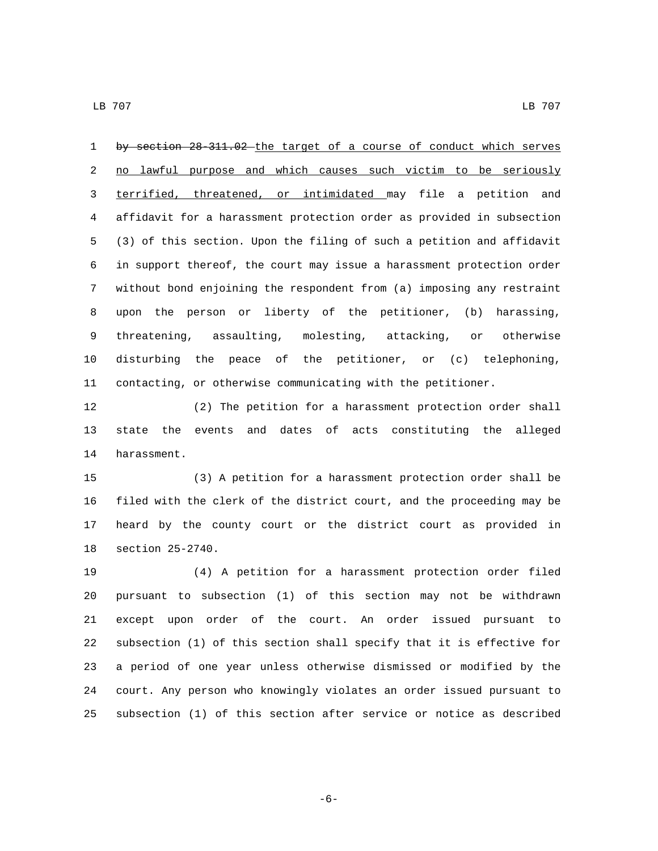1 by section 28-311.02 the target of a course of conduct which serves 2 no lawful purpose and which causes such victim to be seriously terrified, threatened, or intimidated may file a petition and affidavit for a harassment protection order as provided in subsection (3) of this section. Upon the filing of such a petition and affidavit in support thereof, the court may issue a harassment protection order without bond enjoining the respondent from (a) imposing any restraint upon the person or liberty of the petitioner, (b) harassing, threatening, assaulting, molesting, attacking, or otherwise disturbing the peace of the petitioner, or (c) telephoning, contacting, or otherwise communicating with the petitioner.

 (2) The petition for a harassment protection order shall state the events and dates of acts constituting the alleged 14 harassment.

 (3) A petition for a harassment protection order shall be filed with the clerk of the district court, and the proceeding may be heard by the county court or the district court as provided in 18 section 25-2740.

 (4) A petition for a harassment protection order filed pursuant to subsection (1) of this section may not be withdrawn except upon order of the court. An order issued pursuant to subsection (1) of this section shall specify that it is effective for a period of one year unless otherwise dismissed or modified by the court. Any person who knowingly violates an order issued pursuant to subsection (1) of this section after service or notice as described

-6-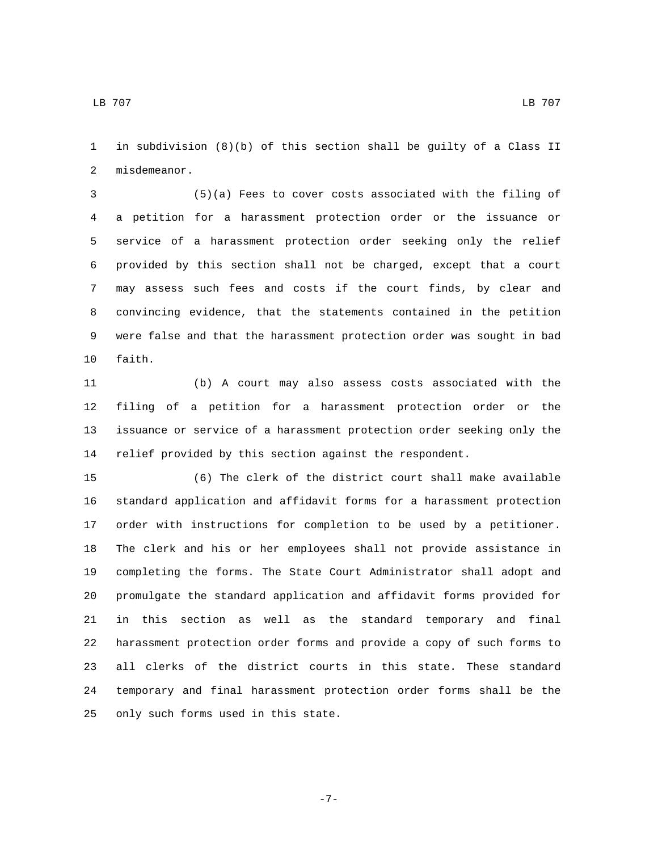in subdivision (8)(b) of this section shall be guilty of a Class II 2 misdemeanor.

 (5)(a) Fees to cover costs associated with the filing of a petition for a harassment protection order or the issuance or service of a harassment protection order seeking only the relief provided by this section shall not be charged, except that a court may assess such fees and costs if the court finds, by clear and convincing evidence, that the statements contained in the petition were false and that the harassment protection order was sought in bad 10 faith.

 (b) A court may also assess costs associated with the filing of a petition for a harassment protection order or the issuance or service of a harassment protection order seeking only the relief provided by this section against the respondent.

 (6) The clerk of the district court shall make available standard application and affidavit forms for a harassment protection order with instructions for completion to be used by a petitioner. The clerk and his or her employees shall not provide assistance in completing the forms. The State Court Administrator shall adopt and promulgate the standard application and affidavit forms provided for in this section as well as the standard temporary and final harassment protection order forms and provide a copy of such forms to all clerks of the district courts in this state. These standard temporary and final harassment protection order forms shall be the 25 only such forms used in this state.

-7-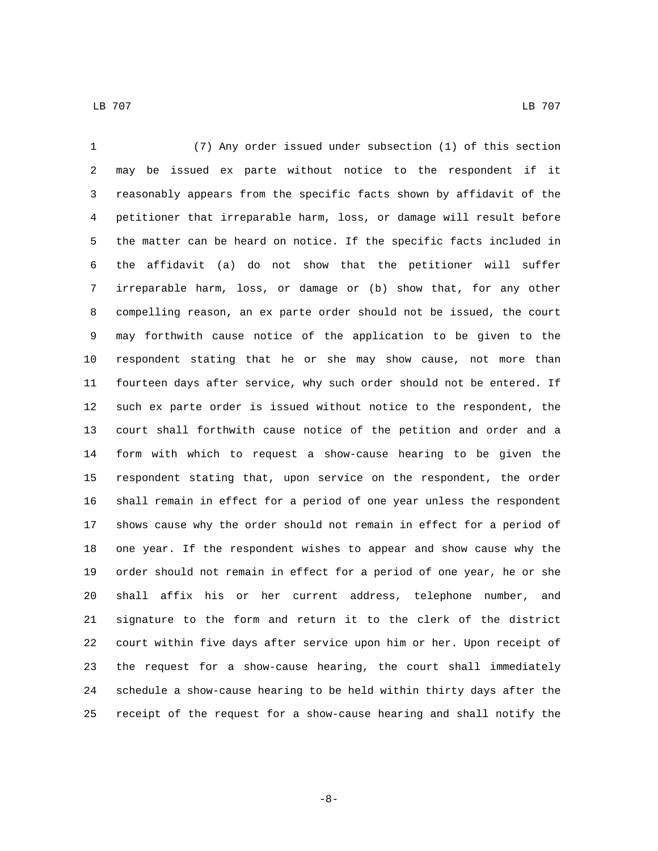(7) Any order issued under subsection (1) of this section may be issued ex parte without notice to the respondent if it reasonably appears from the specific facts shown by affidavit of the petitioner that irreparable harm, loss, or damage will result before the matter can be heard on notice. If the specific facts included in the affidavit (a) do not show that the petitioner will suffer irreparable harm, loss, or damage or (b) show that, for any other compelling reason, an ex parte order should not be issued, the court may forthwith cause notice of the application to be given to the respondent stating that he or she may show cause, not more than fourteen days after service, why such order should not be entered. If such ex parte order is issued without notice to the respondent, the court shall forthwith cause notice of the petition and order and a form with which to request a show-cause hearing to be given the respondent stating that, upon service on the respondent, the order shall remain in effect for a period of one year unless the respondent shows cause why the order should not remain in effect for a period of one year. If the respondent wishes to appear and show cause why the order should not remain in effect for a period of one year, he or she shall affix his or her current address, telephone number, and signature to the form and return it to the clerk of the district court within five days after service upon him or her. Upon receipt of the request for a show-cause hearing, the court shall immediately schedule a show-cause hearing to be held within thirty days after the receipt of the request for a show-cause hearing and shall notify the

-8-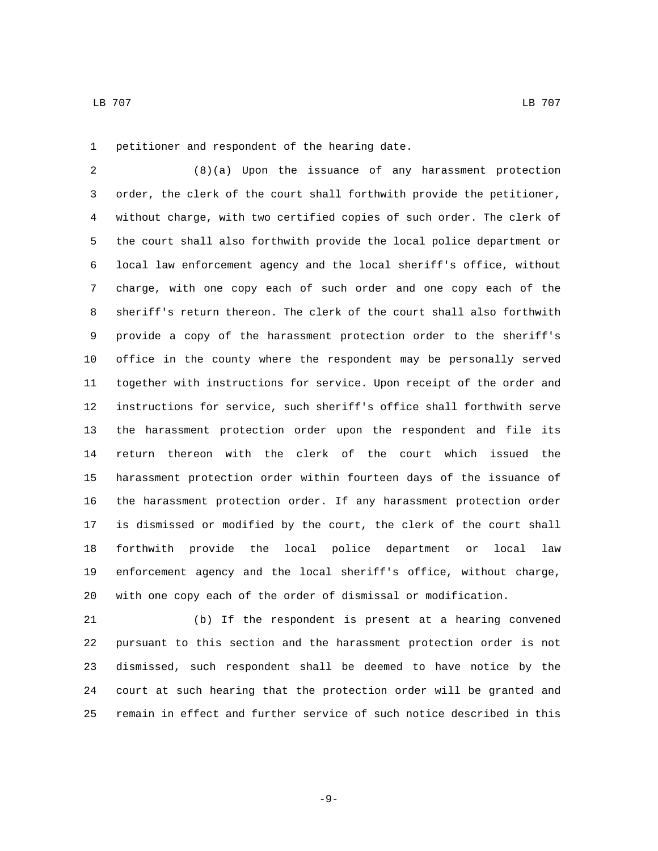1 petitioner and respondent of the hearing date.

 (8)(a) Upon the issuance of any harassment protection order, the clerk of the court shall forthwith provide the petitioner, without charge, with two certified copies of such order. The clerk of the court shall also forthwith provide the local police department or local law enforcement agency and the local sheriff's office, without charge, with one copy each of such order and one copy each of the sheriff's return thereon. The clerk of the court shall also forthwith provide a copy of the harassment protection order to the sheriff's office in the county where the respondent may be personally served together with instructions for service. Upon receipt of the order and instructions for service, such sheriff's office shall forthwith serve the harassment protection order upon the respondent and file its return thereon with the clerk of the court which issued the harassment protection order within fourteen days of the issuance of the harassment protection order. If any harassment protection order is dismissed or modified by the court, the clerk of the court shall forthwith provide the local police department or local law enforcement agency and the local sheriff's office, without charge, with one copy each of the order of dismissal or modification.

 (b) If the respondent is present at a hearing convened pursuant to this section and the harassment protection order is not dismissed, such respondent shall be deemed to have notice by the court at such hearing that the protection order will be granted and remain in effect and further service of such notice described in this

-9-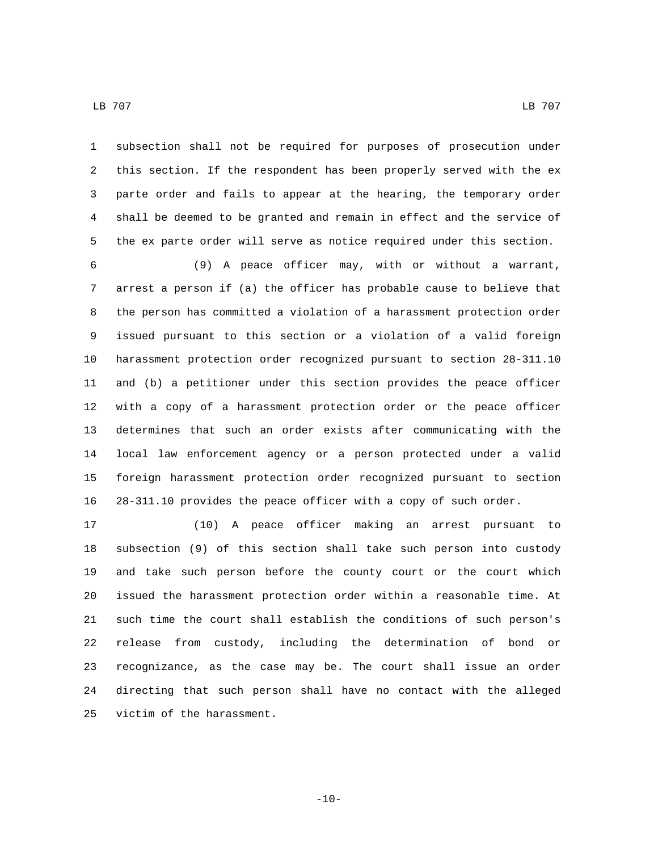LB 707 LB 707

 subsection shall not be required for purposes of prosecution under this section. If the respondent has been properly served with the ex parte order and fails to appear at the hearing, the temporary order shall be deemed to be granted and remain in effect and the service of the ex parte order will serve as notice required under this section.

 (9) A peace officer may, with or without a warrant, arrest a person if (a) the officer has probable cause to believe that the person has committed a violation of a harassment protection order issued pursuant to this section or a violation of a valid foreign harassment protection order recognized pursuant to section 28-311.10 and (b) a petitioner under this section provides the peace officer with a copy of a harassment protection order or the peace officer determines that such an order exists after communicating with the local law enforcement agency or a person protected under a valid foreign harassment protection order recognized pursuant to section 28-311.10 provides the peace officer with a copy of such order.

 (10) A peace officer making an arrest pursuant to subsection (9) of this section shall take such person into custody and take such person before the county court or the court which issued the harassment protection order within a reasonable time. At such time the court shall establish the conditions of such person's release from custody, including the determination of bond or recognizance, as the case may be. The court shall issue an order directing that such person shall have no contact with the alleged 25 victim of the harassment.

 $-10-$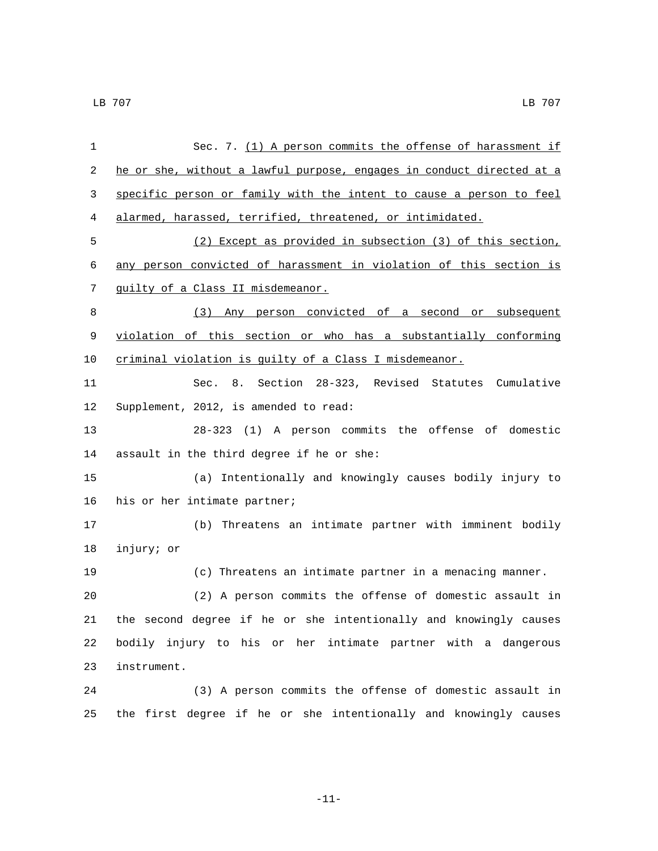| 1  | Sec. 7. (1) A person commits the offense of harassment if             |
|----|-----------------------------------------------------------------------|
| 2  | he or she, without a lawful purpose, engages in conduct directed at a |
| 3  | specific person or family with the intent to cause a person to feel   |
| 4  | alarmed, harassed, terrified, threatened, or intimidated.             |
| 5  | (2) Except as provided in subsection (3) of this section,             |
| 6  | any person convicted of harassment in violation of this section is    |
| 7  | guilty of a Class II misdemeanor.                                     |
| 8  | (3) Any person convicted of a second or subsequent                    |
| 9  | violation of this section or who has a substantially conforming       |
| 10 | criminal violation is quilty of a Class I misdemeanor.                |
| 11 | Sec. 8. Section 28-323, Revised Statutes Cumulative                   |
| 12 | Supplement, 2012, is amended to read:                                 |
| 13 | 28-323 (1) A person commits the offense of domestic                   |
| 14 | assault in the third degree if he or she:                             |
| 15 | (a) Intentionally and knowingly causes bodily injury to               |
| 16 | his or her intimate partner;                                          |
| 17 | (b) Threatens an intimate partner with imminent bodily                |
| 18 | injury; or                                                            |
| 19 | (c) Threatens an intimate partner in a menacing manner.               |
| 20 | (2) A person commits the offense of domestic assault in               |
| 21 | the second degree if he or she intentionally and knowingly causes     |
| 22 | bodily injury to his or her intimate partner with a dangerous         |
| 23 | instrument.                                                           |
| 24 | (3) A person commits the offense of domestic assault in               |
| 25 | the first degree if he or she intentionally and knowingly causes      |

-11-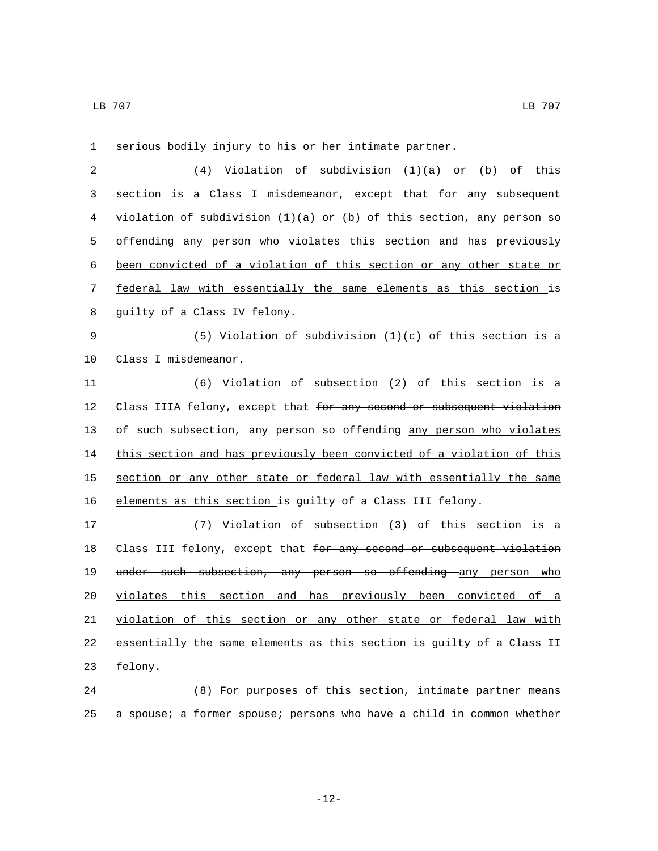1 serious bodily injury to his or her intimate partner. 2 (4) Violation of subdivision (1)(a) or (b) of this 3 section is a Class I misdemeanor, except that for any subsequent 4 violation of subdivision  $(1)(a)$  or  $(b)$  of this section, any person so 5 offending any person who violates this section and has previously 6 been convicted of a violation of this section or any other state or 7 federal law with essentially the same elements as this section is 8 guilty of a Class IV felony. 9 (5) Violation of subdivision (1)(c) of this section is a 10 Class I misdemeanor. 11 (6) Violation of subsection (2) of this section is a 12 Class IIIA felony, except that for any second or subsequent violation 13 of such subsection, any person so offending any person who violates 14 this section and has previously been convicted of a violation of this 15 section or any other state or federal law with essentially the same 16 elements as this section is guilty of a Class III felony. 17 (7) Violation of subsection (3) of this section is a 18 Class III felony, except that for any second or subsequent violation 19 under such subsection, any person so offending any person who 20 violates this section and has previously been convicted of a 21 violation of this section or any other state or federal law with 22 essentially the same elements as this section is guilty of a Class II

23 felony.

24 (8) For purposes of this section, intimate partner means 25 a spouse; a former spouse; persons who have a child in common whether

-12-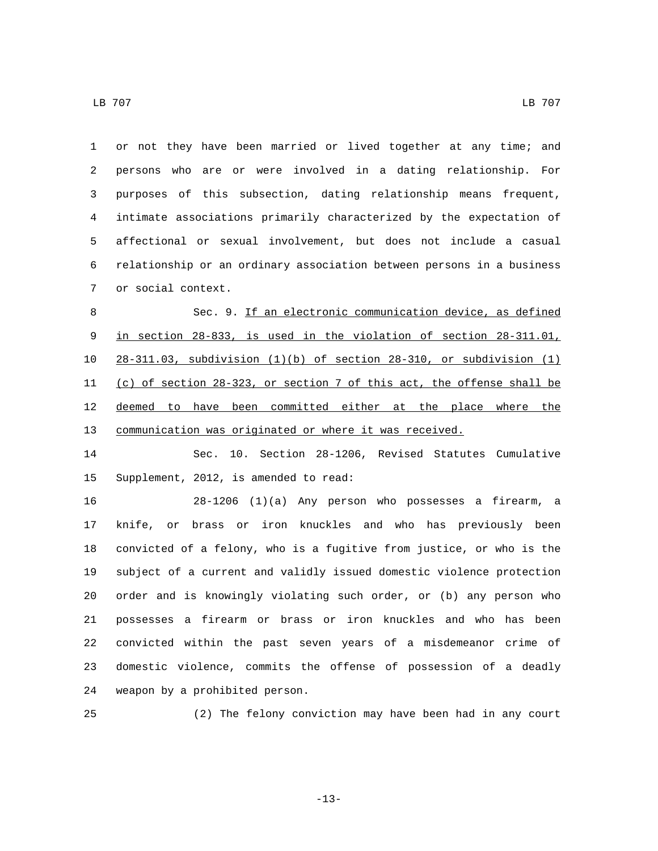LB 707 LB 707

 or not they have been married or lived together at any time; and persons who are or were involved in a dating relationship. For purposes of this subsection, dating relationship means frequent, intimate associations primarily characterized by the expectation of affectional or sexual involvement, but does not include a casual relationship or an ordinary association between persons in a business 7 or social context.

8 Sec. 9. If an electronic communication device, as defined in section 28-833, is used in the violation of section 28-311.01, 28-311.03, subdivision (1)(b) of section 28-310, or subdivision (1) (c) of section 28-323, or section 7 of this act, the offense shall be deemed to have been committed either at the place where the communication was originated or where it was received.

 Sec. 10. Section 28-1206, Revised Statutes Cumulative 15 Supplement, 2012, is amended to read:

 28-1206 (1)(a) Any person who possesses a firearm, a knife, or brass or iron knuckles and who has previously been convicted of a felony, who is a fugitive from justice, or who is the subject of a current and validly issued domestic violence protection order and is knowingly violating such order, or (b) any person who possesses a firearm or brass or iron knuckles and who has been convicted within the past seven years of a misdemeanor crime of domestic violence, commits the offense of possession of a deadly 24 weapon by a prohibited person.

(2) The felony conviction may have been had in any court

-13-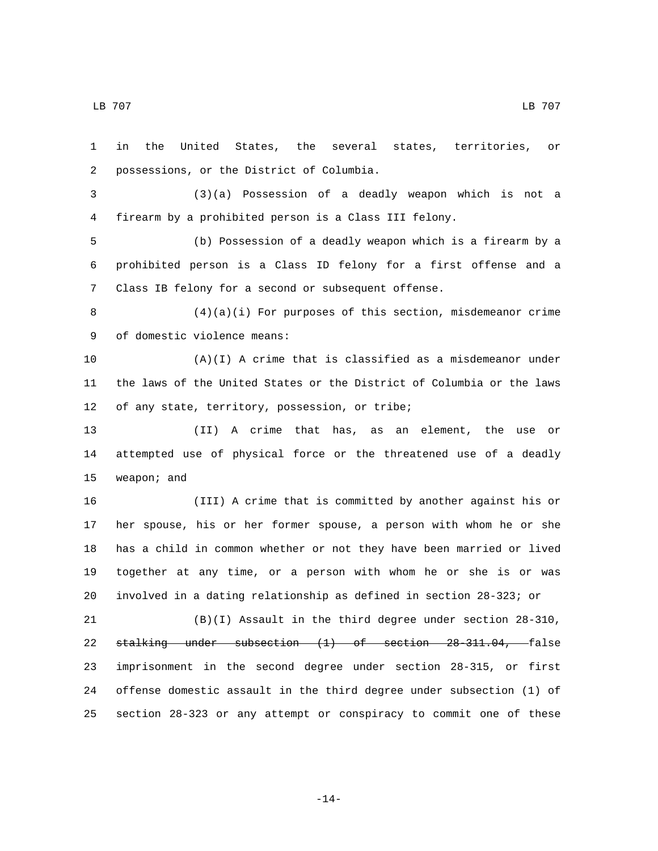LB 707 LB 707

 in the United States, the several states, territories, or possessions, or the District of Columbia.2 (3)(a) Possession of a deadly weapon which is not a firearm by a prohibited person is a Class III felony. (b) Possession of a deadly weapon which is a firearm by a prohibited person is a Class ID felony for a first offense and a Class IB felony for a second or subsequent offense. (4)(a)(i) For purposes of this section, misdemeanor crime 9 of domestic violence means: (A)(I) A crime that is classified as a misdemeanor under the laws of the United States or the District of Columbia or the laws 12 of any state, territory, possession, or tribe; (II) A crime that has, as an element, the use or attempted use of physical force or the threatened use of a deadly 15 weapon; and (III) A crime that is committed by another against his or her spouse, his or her former spouse, a person with whom he or she has a child in common whether or not they have been married or lived together at any time, or a person with whom he or she is or was involved in a dating relationship as defined in section 28-323; or (B)(I) Assault in the third degree under section 28-310, stalking under subsection (1) of section 28-311.04, false imprisonment in the second degree under section 28-315, or first offense domestic assault in the third degree under subsection (1) of section 28-323 or any attempt or conspiracy to commit one of these

-14-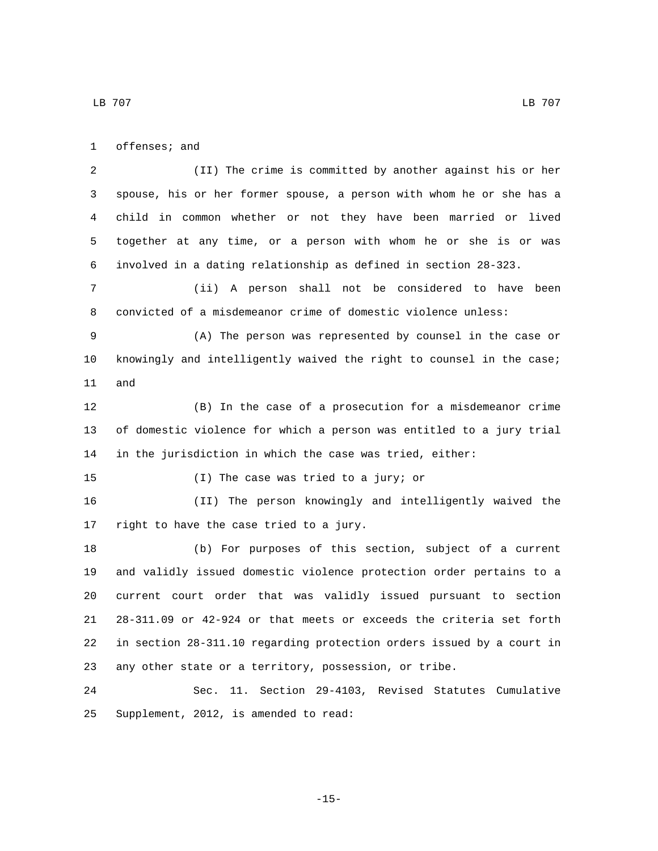1 offenses; and

 (II) The crime is committed by another against his or her spouse, his or her former spouse, a person with whom he or she has a child in common whether or not they have been married or lived together at any time, or a person with whom he or she is or was involved in a dating relationship as defined in section 28-323.

 (ii) A person shall not be considered to have been convicted of a misdemeanor crime of domestic violence unless:

 (A) The person was represented by counsel in the case or knowingly and intelligently waived the right to counsel in the case; 11 and

 (B) In the case of a prosecution for a misdemeanor crime of domestic violence for which a person was entitled to a jury trial in the jurisdiction in which the case was tried, either:

15 (I) The case was tried to a jury; or

 (II) The person knowingly and intelligently waived the 17 right to have the case tried to a jury.

 (b) For purposes of this section, subject of a current and validly issued domestic violence protection order pertains to a current court order that was validly issued pursuant to section 28-311.09 or 42-924 or that meets or exceeds the criteria set forth in section 28-311.10 regarding protection orders issued by a court in any other state or a territory, possession, or tribe.

 Sec. 11. Section 29-4103, Revised Statutes Cumulative 25 Supplement, 2012, is amended to read: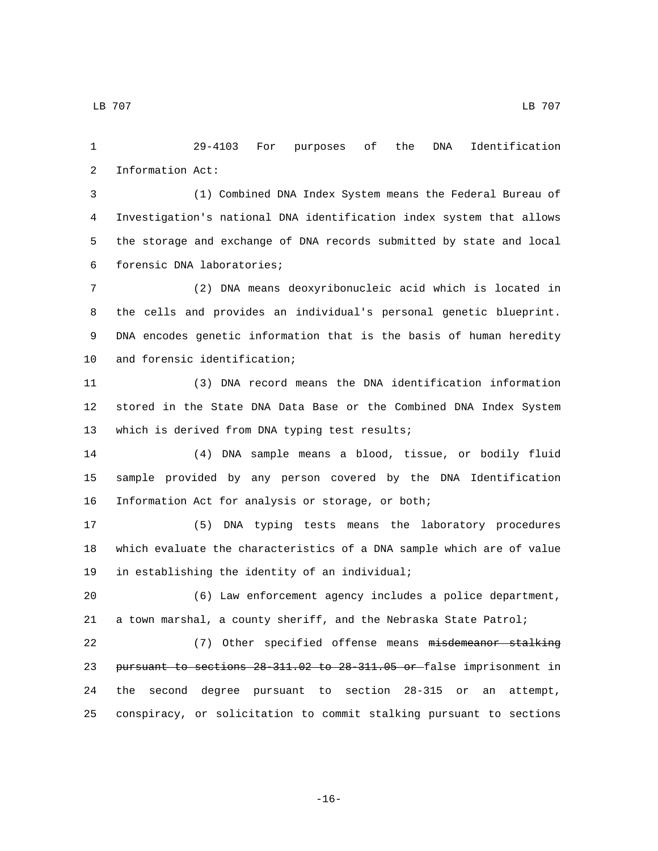29-4103 For purposes of the DNA Identification 2 Information Act:

 (1) Combined DNA Index System means the Federal Bureau of Investigation's national DNA identification index system that allows the storage and exchange of DNA records submitted by state and local forensic DNA laboratories;6

 (2) DNA means deoxyribonucleic acid which is located in the cells and provides an individual's personal genetic blueprint. DNA encodes genetic information that is the basis of human heredity 10 and forensic identification;

 (3) DNA record means the DNA identification information stored in the State DNA Data Base or the Combined DNA Index System 13 which is derived from DNA typing test results;

 (4) DNA sample means a blood, tissue, or bodily fluid sample provided by any person covered by the DNA Identification 16 Information Act for analysis or storage, or both;

 (5) DNA typing tests means the laboratory procedures which evaluate the characteristics of a DNA sample which are of value 19 in establishing the identity of an individual;

 (6) Law enforcement agency includes a police department, a town marshal, a county sheriff, and the Nebraska State Patrol;

22 (7) Other specified offense means misdemeanor stalking pursuant to sections 28-311.02 to 28-311.05 or false imprisonment in the second degree pursuant to section 28-315 or an attempt, conspiracy, or solicitation to commit stalking pursuant to sections

-16-